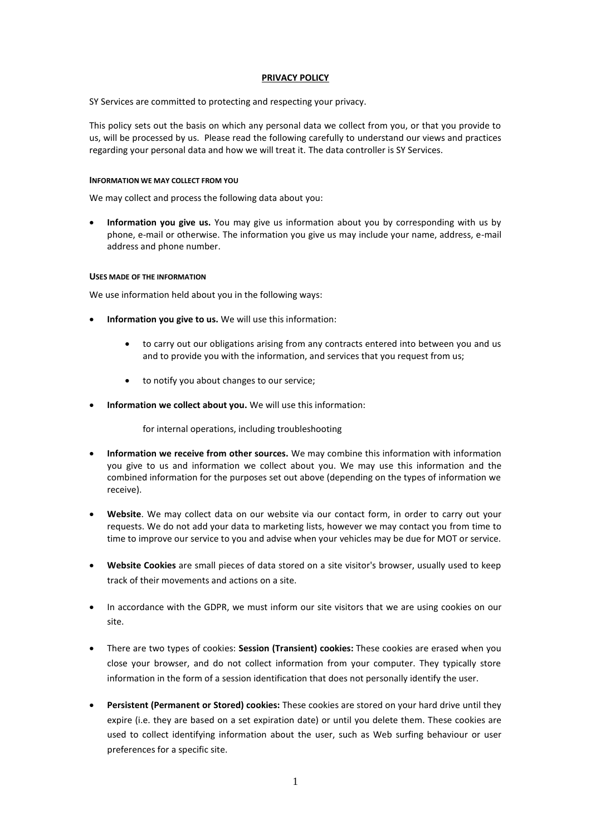# **PRIVACY POLICY**

SY Services are committed to protecting and respecting your privacy.

This policy sets out the basis on which any personal data we collect from you, or that you provide to us, will be processed by us. Please read the following carefully to understand our views and practices regarding your personal data and how we will treat it. The data controller is SY Services.

## **INFORMATION WE MAY COLLECT FROM YOU**

We may collect and process the following data about you:

• **Information you give us.** You may give us information about you by corresponding with us by phone, e-mail or otherwise. The information you give us may include your name, address, e-mail address and phone number.

# **USES MADE OF THE INFORMATION**

We use information held about you in the following ways:

- **Information you give to us.** We will use this information:
	- to carry out our obligations arising from any contracts entered into between you and us and to provide you with the information, and services that you request from us;
	- to notify you about changes to our service;
- **Information we collect about you.** We will use this information:

for internal operations, including troubleshooting

- **Information we receive from other sources.** We may combine this information with information you give to us and information we collect about you. We may use this information and the combined information for the purposes set out above (depending on the types of information we receive).
- **Website**. We may collect data on our website via our contact form, in order to carry out your requests. We do not add your data to marketing lists, however we may contact you from time to time to improve our service to you and advise when your vehicles may be due for MOT or service.
- **Website Cookies** are small pieces of data stored on a site visitor's browser, usually used to keep track of their movements and actions on a site.
- In accordance with the GDPR, we must inform our site visitors that we are using cookies on our site.
- There are two types of cookies: **Session (Transient) cookies:** These cookies are erased when you close your browser, and do not collect information from your computer. They typically store information in the form of a session identification that does not personally identify the user.
- **Persistent (Permanent or Stored) cookies:** These cookies are stored on your hard drive until they expire (i.e. they are based on a set expiration date) or until you delete them. These cookies are used to collect identifying information about the user, such as Web surfing behaviour or user preferences for a specific site.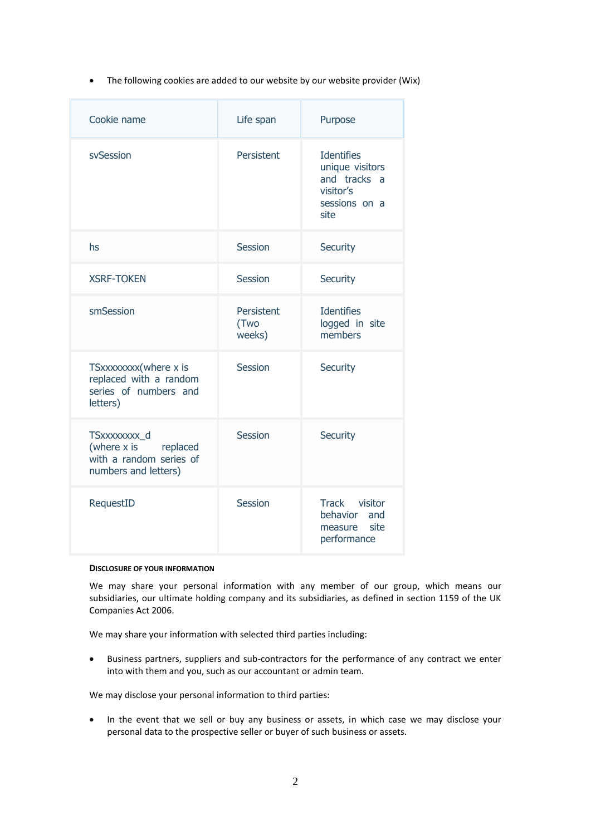• The following cookies are added to our website by our website provider (Wix)

| Cookie name                                                                                  | Life span                    | Purpose                                                                                    |
|----------------------------------------------------------------------------------------------|------------------------------|--------------------------------------------------------------------------------------------|
| svSession                                                                                    | Persistent                   | <b>Identifies</b><br>unique visitors<br>and tracks a<br>visitor's<br>sessions on a<br>site |
| hs                                                                                           | Session                      | Security                                                                                   |
| <b>XSRF-TOKEN</b>                                                                            | Session                      | Security                                                                                   |
| smSession                                                                                    | Persistent<br>(Two<br>weeks) | <b>Identifies</b><br>logged in site<br>members                                             |
| TSxxxxxxx(where x is<br>replaced with a random<br>series of numbers and<br>letters)          | Session                      | Security                                                                                   |
| TSxxxxxxxx_d<br>(where $x$ is<br>replaced<br>with a random series of<br>numbers and letters) | Session                      | Security                                                                                   |
| RequestID                                                                                    | Session                      | Track visitor<br>behavior and<br>measure<br>site<br>performance                            |

## **DISCLOSURE OF YOUR INFORMATION**

We may share your personal information with any member of our group, which means our subsidiaries, our ultimate holding company and its subsidiaries, as defined in section 1159 of the UK Companies Act 2006.

We may share your information with selected third parties including:

• Business partners, suppliers and sub-contractors for the performance of any contract we enter into with them and you, such as our accountant or admin team.

We may disclose your personal information to third parties:

• In the event that we sell or buy any business or assets, in which case we may disclose your personal data to the prospective seller or buyer of such business or assets.